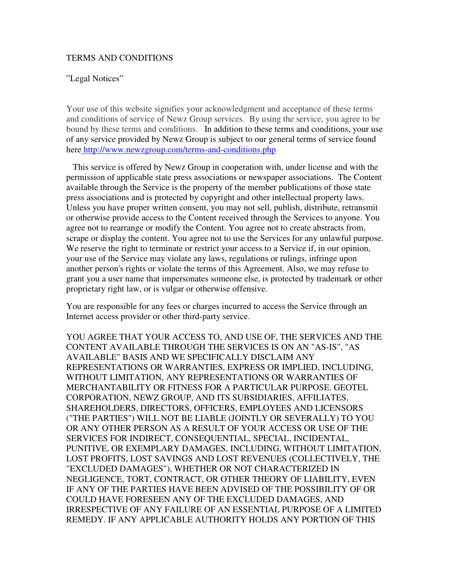## TERMS AND CONDITIONS

## "Legal Notices"

Your use of this website signifies your acknowledgment and acceptance of these terms and conditions of service of Newz Group services. By using the service, you agree to be bound by these terms and conditions. In addition to these terms and conditions, your use of any service provided by Newz Group is subject to our general terms of service found here http://www.newzgroup.com/terms-and-conditions.php

 This service is offered by Newz Group in cooperation with, under license and with the permission of applicable state press associations or newspaper associations. The Content available through the Service is the property of the member publications of those state press associations and is protected by copyright and other intellectual property laws. Unless you have proper written consent, you may not sell, publish, distribute, retransmit or otherwise provide access to the Content received through the Services to anyone. You agree not to rearrange or modify the Content. You agree not to create abstracts from, scrape or display the content. You agree not to use the Services for any unlawful purpose. We reserve the right to terminate or restrict your access to a Service if, in our opinion, your use of the Service may violate any laws, regulations or rulings, infringe upon another person's rights or violate the terms of this Agreement. Also, we may refuse to grant you a user name that impersonates someone else, is protected by trademark or other proprietary right law, or is vulgar or otherwise offensive.

You are responsible for any fees or charges incurred to access the Service through an Internet access provider or other third-party service.

YOU AGREE THAT YOUR ACCESS TO, AND USE OF, THE SERVICES AND THE CONTENT AVAILABLE THROUGH THE SERVICES IS ON AN "AS-IS", "AS AVAILABLE" BASIS AND WE SPECIFICALLY DISCLAIM ANY REPRESENTATIONS OR WARRANTIES, EXPRESS OR IMPLIED, INCLUDING, WITHOUT LIMITATION, ANY REPRESENTATIONS OR WARRANTIES OF MERCHANTABILITY OR FITNESS FOR A PARTICULAR PURPOSE. GEOTEL CORPORATION, NEWZ GROUP, AND ITS SUBSIDIARIES, AFFILIATES, SHAREHOLDERS, DIRECTORS, OFFICERS, EMPLOYEES AND LICENSORS ("THE PARTIES") WILL NOT BE LIABLE (JOINTLY OR SEVERALLY) TO YOU OR ANY OTHER PERSON AS A RESULT OF YOUR ACCESS OR USE OF THE SERVICES FOR INDIRECT, CONSEQUENTIAL, SPECIAL, INCIDENTAL, PUNITIVE, OR EXEMPLARY DAMAGES, INCLUDING, WITHOUT LIMITATION, LOST PROFITS, LOST SAVINGS AND LOST REVENUES (COLLECTIVELY, THE "EXCLUDED DAMAGES"), WHETHER OR NOT CHARACTERIZED IN NEGLIGENCE, TORT, CONTRACT, OR OTHER THEORY OF LIABILITY, EVEN IF ANY OF THE PARTIES HAVE BEEN ADVISED OF THE POSSIBILITY OF OR COULD HAVE FORESEEN ANY OF THE EXCLUDED DAMAGES, AND IRRESPECTIVE OF ANY FAILURE OF AN ESSENTIAL PURPOSE OF A LIMITED REMEDY. IF ANY APPLICABLE AUTHORITY HOLDS ANY PORTION OF THIS